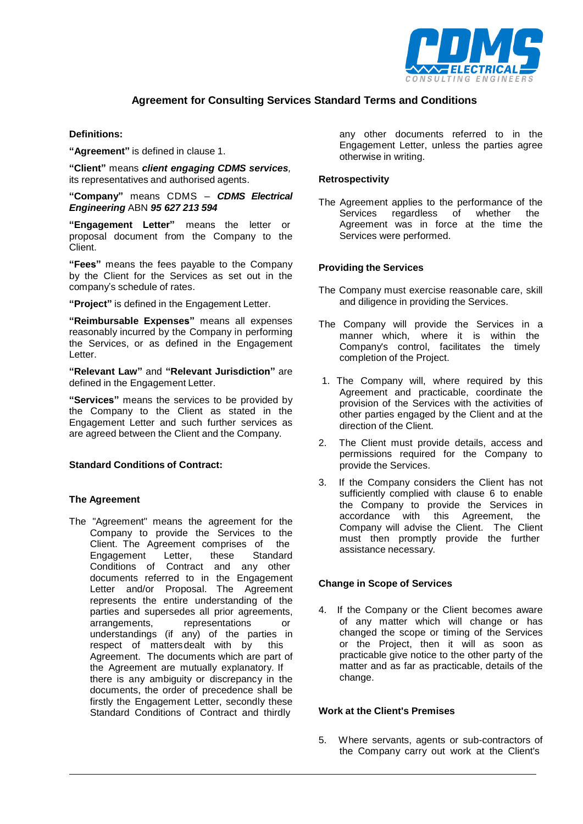

# **Agreement for Consulting Services Standard Terms and Conditions**

### **Definitions:**

**"Agreement"** is defined in clause 1.

**"Client"** means *client engaging CDMS services,* its representatives and authorised agents.

**"Company"** means CDMS – *CDMS Electrical Engineering* ABN *95 627 213 594*

**"Engagement Letter"** means the letter or proposal document from the Company to the Client.

**"Fees"** means the fees payable to the Company by the Client for the Services as set out in the company's schedule of rates.

**"Project"** is defined in the Engagement Letter.

**"Reimbursable Expenses"** means all expenses reasonably incurred by the Company in performing the Services, or as defined in the Engagement Letter.

**"Relevant Law"** and **"Relevant Jurisdiction"** are defined in the Engagement Letter.

**"Services"** means the services to be provided by the Company to the Client as stated in the Engagement Letter and such further services as are agreed between the Client and the Company.

### **Standard Conditions of Contract:**

### **The Agreement**

The "Agreement" means the agreement for the Company to provide the Services to the Client. The Agreement comprises of the<br>Engagement Letter, these Standard Engagement Letter, these Standard Conditions of Contract and any other documents referred to in the Engagement Letter and/or Proposal. The Agreement represents the entire understanding of the parties and supersedes all prior agreements, arrangements, representations or understandings (if any) of the parties in respect of mattersdealt with by this Agreement. The documents which are part of the Agreement are mutually explanatory. If there is any ambiguity or discrepancy in the documents, the order of precedence shall be firstly the Engagement Letter, secondly these Standard Conditions of Contract and thirdly

any other documents referred to in the Engagement Letter, unless the parties agree otherwise in writing.

#### **Retrospectivity**

The Agreement applies to the performance of the Services regardless of whether the Agreement was in force at the time the Services were performed.

#### **Providing the Services**

- The Company must exercise reasonable care, skill and diligence in providing the Services.
- The Company will provide the Services in a manner which, where it is within the Company's control, facilitates the timely completion of the Project.
- 1. The Company will, where required by this Agreement and practicable, coordinate the provision of the Services with the activities of other parties engaged by the Client and at the direction of the Client.
- 2. The Client must provide details, access and permissions required for the Company to provide the Services.
- 3. If the Company considers the Client has not sufficiently complied with clause 6 to enable the Company to provide the Services in accordance with this Agreement, the Company will advise the Client. The Client must then promptly provide the further assistance necessary.

### **Change in Scope of Services**

4. If the Company or the Client becomes aware of any matter which will change or has changed the scope or timing of the Services or the Project, then it will as soon as practicable give notice to the other party of the matter and as far as practicable, details of the change.

### **Work at the Client's Premises**

5. Where servants, agents or sub-contractors of the Company carry out work at the Client's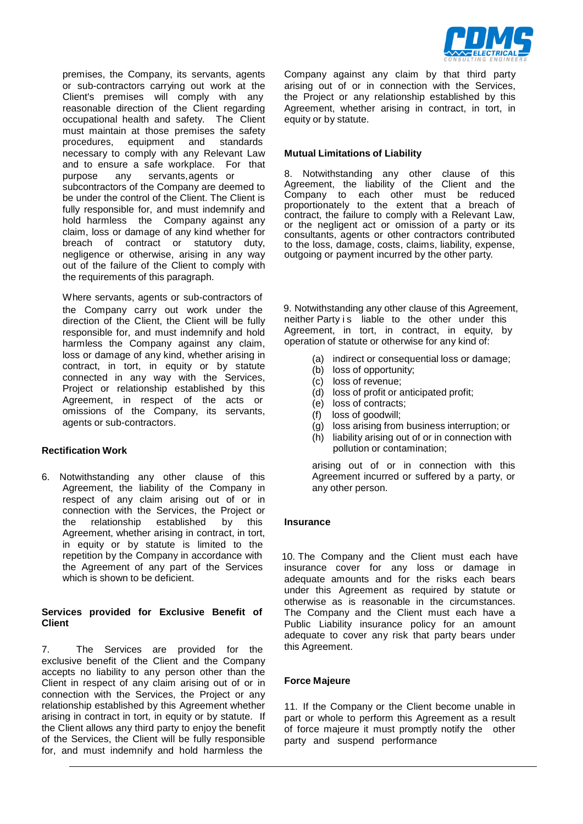

premises, the Company, its servants, agents or sub-contractors carrying out work at the Client's premises will comply with any reasonable direction of the Client regarding occupational health and safety. The Client must maintain at those premises the safety procedures, equipment and standards necessary to comply with any Relevant Law and to ensure a safe workplace. For that purpose any servants,agents or subcontractors of the Company are deemed to be under the control of the Client. The Client is fully responsible for, and must indemnify and hold harmless the Company against any claim, loss or damage of any kind whether for breach of contract or statutory duty, negligence or otherwise, arising in any way out of the failure of the Client to comply with the requirements of this paragraph.

Where servants, agents or sub-contractors of direction of the Client, the Client will be fully responsible for, and must indemnify and hold harmless the Company against any claim, loss or damage of any kind, whether arising in contract, in tort, in equity or by statute connected in any way with the Services, Project or relationship established by this Agreement, in respect of the acts or omissions of the Company, its servants, agents or sub-contractors.

#### **Rectification Work**

6. Notwithstanding any other clause of this Agreement, the liability of the Company in respect of any claim arising out of or in connection with the Services, the Project or the relationship established by this Agreement, whether arising in contract, in tort, in equity or by statute is limited to the the Agreement of any part of the Services which is shown to be deficient.

#### **Services provided for Exclusive Benefit of Client**

7. The Services are provided for the exclusive benefit of the Client and the Company accepts no liability to any person other than the Client in respect of any claim arising out of or in connection with the Services, the Project or any relationship established by this Agreement whether arising in contract in tort, in equity or by statute. If the Client allows any third party to enjoy the benefit of the Services, the Client will be fully responsible for, and must indemnify and hold harmless the

Company against any claim by that third party arising out of or in connection with the Services, the Project or any relationship established by this Agreement, whether arising in contract, in tort, in equity or by statute.

#### **Mutual Limitations of Liability**

8. Notwithstanding any other clause of this Agreement, the liability of the Client and the Company to each other must be reduced proportionately to the extent that a breach of contract, the failure to comply with a Relevant Law, or the negligent act or omission of a party or its consultants, agents or other contractors contributed to the loss, damage, costs, claims, liability, expense, outgoing or payment incurred by the other party*.*

the Company carry out work under the 9. Notwithstanding any other clause of this Agreement, neither Party is liable to the other under this Agreement, in tort, in contract, in equity, by operation of statute or otherwise for any kind of:

- (a) indirect or consequential loss or damage;
- (b) loss of opportunity;
- (c) loss of revenue;
- (d) loss of profit or anticipated profit;
- (e) loss of contracts;
- (f) loss of goodwill;
- (g) loss arising from business interruption; or
- (h) liability arising out of or in connection with pollution or contamination;

arising out of or in connection with this Agreement incurred or suffered by a party, or any other person.

#### **Insurance**

repetition by the Company in accordance with 10. The Company and the Client must each have insurance cover for any loss or damage in adequate amounts and for the risks each bears under this Agreement as required by statute or otherwise as is reasonable in the circumstances. The Company and the Client must each have a Public Liability insurance policy for an amount adequate to cover any risk that party bears under this Agreement.

### **Force Majeure**

11. If the Company or the Client become unable in part or whole to perform this Agreement as a result of force majeure it must promptly notify the other party and suspend performance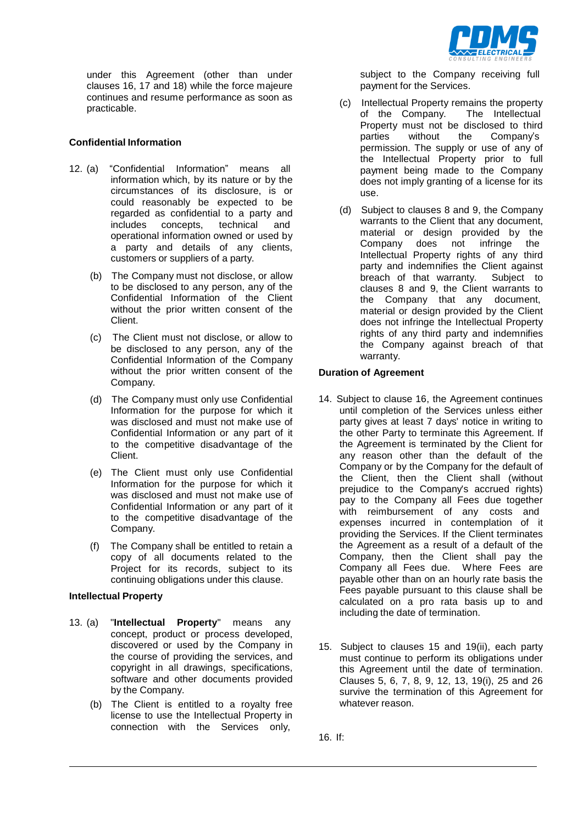

under this Agreement (other than under clauses 16, 17 and 18) while the force majeure continues and resume performance as soon as practicable.

# **Confidential Information**

- 12. (a) "Confidential Information" means all information which, by its nature or by the circumstances of its disclosure, is or could reasonably be expected to be regarded as confidential to a party and includes concepts, technical and operational information owned or used by a party and details of any clients, customers or suppliers of a party.
	- (b) The Company must not disclose, or allow to be disclosed to any person, any of the Confidential Information of the Client without the prior written consent of the Client.
	- (c) The Client must not disclose, or allow to be disclosed to any person, any of the Confidential Information of the Company without the prior written consent of the Company.
	- (d) The Company must only use Confidential Information for the purpose for which it was disclosed and must not make use of Confidential Information or any part of it to the competitive disadvantage of the Client.
	- (e) The Client must only use Confidential Information for the purpose for which it was disclosed and must not make use of Confidential Information or any part of it to the competitive disadvantage of the Company.
	- (f) The Company shall be entitled to retain a copy of all documents related to the Project for its records, subject to its continuing obligations under this clause.

### **Intellectual Property**

- 13. (a) "**Intellectual Property**" means any concept, product or process developed, discovered or used by the Company in the course of providing the services, and copyright in all drawings, specifications, software and other documents provided by the Company.
	- (b) The Client is entitled to a royalty free license to use the Intellectual Property in connection with the Services only,

subject to the Company receiving full payment for the Services.

- (c) Intellectual Property remains the property of the Company. Property must not be disclosed to third parties without the Company's permission. The supply or use of any of the Intellectual Property prior to full payment being made to the Company does not imply granting of a license for its use.
- (d) Subject to clauses 8 and 9, the Company warrants to the Client that any document, material or design provided by the Company does not infringe the Intellectual Property rights of any third party and indemnifies the Client against breach of that warranty. Subject to clauses 8 and 9, the Client warrants to the Company that any document, material or design provided by the Client does not infringe the Intellectual Property rights of any third party and indemnifies the Company against breach of that warranty.

## **Duration of Agreement**

- 14. Subject to clause 16, the Agreement continues until completion of the Services unless either party gives at least 7 days' notice in writing to the other Party to terminate this Agreement. If the Agreement is terminated by the Client for any reason other than the default of the Company or by the Company for the default of the Client, then the Client shall (without prejudice to the Company's accrued rights) pay to the Company all Fees due together with reimbursement of any costs and expenses incurred in contemplation of it providing the Services. If the Client terminates the Agreement as a result of a default of the Company, then the Client shall pay the Company all Fees due. Where Fees are payable other than on an hourly rate basis the Fees payable pursuant to this clause shall be calculated on a pro rata basis up to and including the date of termination.
- 15. Subject to clauses 15 and 19(ii), each party must continue to perform its obligations under this Agreement until the date of termination. Clauses 5, 6, 7, 8, 9, 12, 13, 19(i), 25 and 26 survive the termination of this Agreement for whatever reason.

16. If: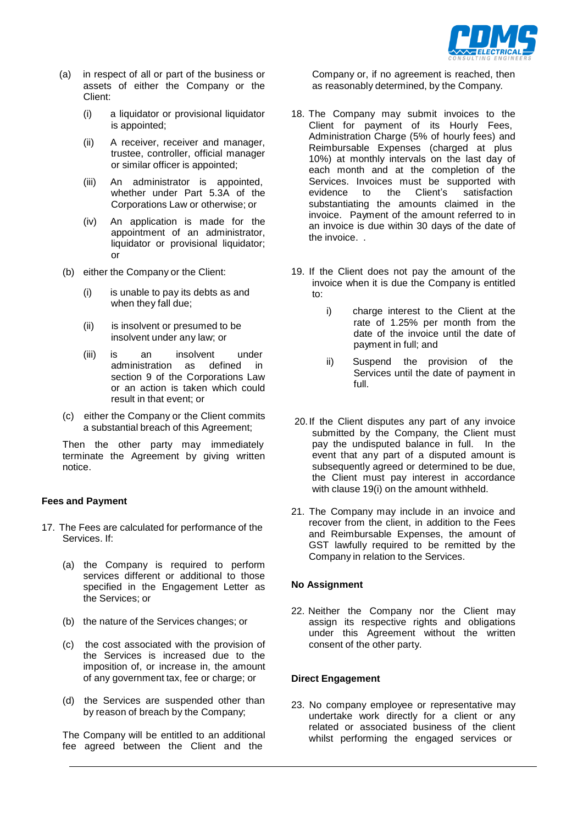

- (a) in respect of all or part of the business or assets of either the Company or the Client:
	- (i) a liquidator or provisional liquidator is appointed;
	- (ii) A receiver, receiver and manager, trustee, controller, official manager or similar officer is appointed;
	- (iii) An administrator is appointed, whether under Part 5.3A of the Corporations Law or otherwise; or
	- (iv) An application is made for the appointment of an administrator, liquidator or provisional liquidator; or
- (b) either the Company or the Client:
	- (i) is unable to pay its debts as and when they fall due;
	- (ii) is insolvent or presumed to be insolvent under any law; or
	- (iii) is an insolvent under administration as defined in section 9 of the Corporations Law or an action is taken which could result in that event; or
- (c) either the Company or the Client commits a substantial breach of this Agreement;

Then the other party may immediately terminate the Agreement by giving written notice.

### **Fees and Payment**

- 17. The Fees are calculated for performance of the Services. If:
	- (a) the Company is required to perform services different or additional to those specified in the Engagement Letter as the Services; or
	- (b) the nature of the Services changes; or
	- (c) the cost associated with the provision of the Services is increased due to the imposition of, or increase in, the amount of any government tax, fee or charge; or
	- (d) the Services are suspended other than by reason of breach by the Company;

The Company will be entitled to an additional fee agreed between the Client and the

Company or, if no agreement is reached, then as reasonably determined, by the Company.

- 18. The Company may submit invoices to the Client for payment of its Hourly Fees, Administration Charge (5% of hourly fees) and Reimbursable Expenses (charged at plus 10%) at monthly intervals on the last day of each month and at the completion of the Services. Invoices must be supported with evidence to the Client's satisfaction substantiating the amounts claimed in the invoice. Payment of the amount referred to in an invoice is due within 30 days of the date of the invoice. .
- 19. If the Client does not pay the amount of the invoice when it is due the Company is entitled to:
	- i) charge interest to the Client at the rate of 1.25% per month from the date of the invoice until the date of payment in full; and
	- ii) Suspend the provision of the Services until the date of payment in full.
- 20.If the Client disputes any part of any invoice submitted by the Company, the Client must pay the undisputed balance in full. In the event that any part of a disputed amount is subsequently agreed or determined to be due, the Client must pay interest in accordance with clause 19(i) on the amount withheld.
- 21. The Company may include in an invoice and recover from the client, in addition to the Fees and Reimbursable Expenses, the amount of GST lawfully required to be remitted by the Company in relation to the Services.

#### **No Assignment**

22. Neither the Company nor the Client may assign its respective rights and obligations under this Agreement without the written consent of the other party.

### **Direct Engagement**

23. No company employee or representative may undertake work directly for a client or any related or associated business of the client whilst performing the engaged services or